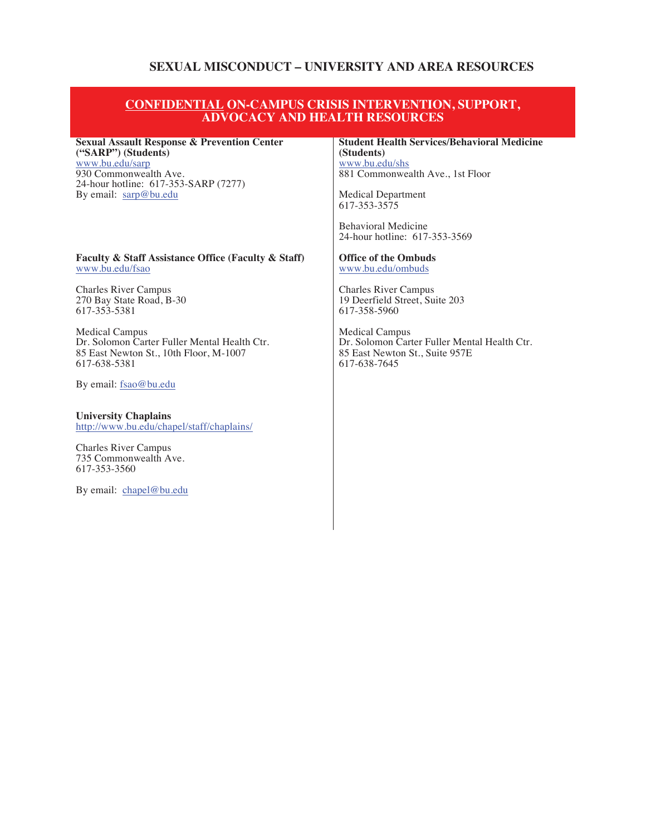# **SEXUAL MISCONDUCT – UNIVERSITY AND AREA RESOURCES**

### **CONFIDENTIAL ON-CAMPUS CRISIS INTERVENTION, SUPPORT, ADVOCACY AND HEALTH RESOURCES**

#### **Sexual Assault Response & Prevention Center ("SARP") (Students)**

www.bu.edu/sarp 930 Commonwealth Ave. 24-hour hotline: 617-353-SARP (7277) By email: sarp@bu.edu

#### **Faculty & Staff Assistance Office (Faculty & Staff)** www.bu.edu/fsao

Charles River Campus 270 Bay State Road, B-30 617-353-5381

Medical Campus Dr. Solomon Carter Fuller Mental Health Ctr. 85 East Newton St., 10th Floor, M-1007 617-638-5381

By email: fsao@bu.edu

**University Chaplains**  http://www.bu.edu/chapel/staff/chaplains/

Charles River Campus 735 Commonwealth Ave. 617-353-3560

By email: chapel@bu.edu

### **Student Health Services/Behavioral Medicine (Students)**

www.bu.edu/shs 881 Commonwealth Ave., 1st Floor

Medical Department 617-353-3575

Behavioral Medicine 24-hour hotline: 617-353-3569

#### **Office of the Ombuds**  www.bu.edu/ombuds

Charles River Campus 19 Deerfield Street, Suite 203 617-358-5960

Medical Campus Dr. Solomon Carter Fuller Mental Health Ctr. 85 East Newton St., Suite 957E 617-638-7645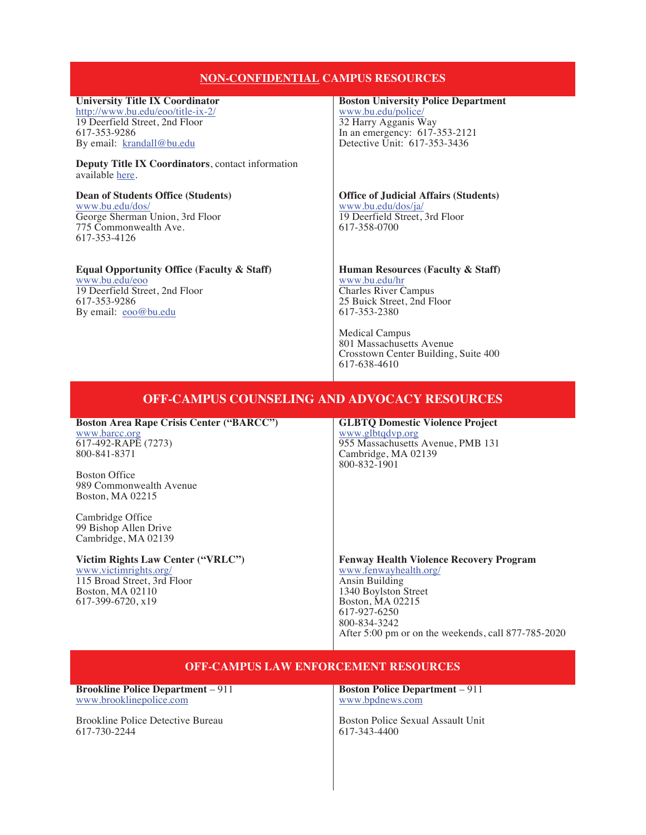# **NON-CONFIDENTIAL CAMPUS RESOURCES**

### **University Title IX Coordinator**

http://www.bu.edu/eoo/title-ix-2/ 19 Deerfield Street, 2nd Floor 617-353-9286 By email: krandall@bu.edu

**Deputy Title IX Coordinators**, contact information available here.

**Dean of Students Office (Students)**  www.bu.edu/dos/ George Sherman Union, 3rd Floor 775 Commonwealth Ave. 617-353-4126

### **Equal Opportunity Office (Faculty & Staff)**

www.bu.edu/eoo 19 Deerfield Street, 2nd Floor 617-353-9286 By email: eoo@bu.edu

#### **Boston University Police Department**

www.bu.edu/police/ 32 Harry Agganis Way In an emergency: 617-353-2121 Detective Unit: 617-353-3436

**Office of Judicial Affairs (Students)**  www.bu.edu/dos/ja/ 19 Deerfield Street, 3rd Floor 617-358-0700

### **Human Resources (Faculty & Staff)**  www.bu.edu/hr

Charles River Campus 25 Buick Street, 2nd Floor 617-353-2380

Medical Campus 801 Massachusetts Avenue Crosstown Center Building, Suite 400 617-638-4610

## **OFF-CAMPUS COUNSELING AND ADVOCACY RESOURCES**

**Boston Area Rape Crisis Center ("BARCC")**  www.barcc.org 617-492-RAPE (7273) 800-841-8371

Boston Office 989 Commonwealth Avenue Boston, MA 02215

Cambridge Office 99 Bishop Allen Drive Cambridge, MA 02139

#### **Victim Rights Law Center ("VRLC")**  www.victimrights.org/

115 Broad Street, 3rd Floor Boston, MA 02110 617-399-6720, x19

**GLBTQ Domestic Violence Project**  www.glbtqdvp.org 955 Massachusetts Avenue, PMB 131 Cambridge, MA 02139 800-832-1901

**Fenway Health Violence Recovery Program**  www.fenwayhealth.org/ Ansin Building 1340 Boylston Street Boston, MA 02215 617-927-6250 800-834-3242 After 5:00 pm or on the weekends, call 877-785-2020

# **OFF-CAMPUS LAW ENFORCEMENT RESOURCES**

**Brookline Police Department** – 911 www.brooklinepolice.com

Brookline Police Detective Bureau 617-730-2244

**Boston Police Department** – 911 www.bpdnews.com

Boston Police Sexual Assault Unit 617-343-4400